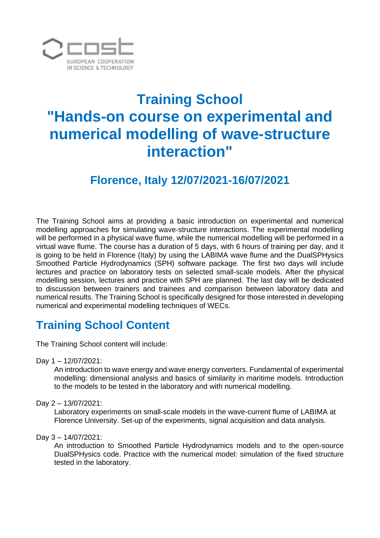

# **Training School "Hands-on course on experimental and numerical modelling of wave-structure interaction"**

## **Florence, Italy 12/07/2021-16/07/2021**

The Training School aims at providing a basic introduction on experimental and numerical modelling approaches for simulating wave-structure interactions. The experimental modelling will be performed in a physical wave flume, while the numerical modelling will be performed in a virtual wave flume. The course has a duration of 5 days, with 6 hours of training per day, and it is going to be held in Florence (Italy) by using the LABIMA wave flume and the DualSPHysics Smoothed Particle Hydrodynamics (SPH) software package. The first two days will include lectures and practice on laboratory tests on selected small-scale models. After the physical modelling session, lectures and practice with SPH are planned. The last day will be dedicated to discussion between trainers and trainees and comparison between laboratory data and numerical results. The Training School is specifically designed for those interested in developing numerical and experimental modelling techniques of WECs.

# **Training School Content**

The Training School content will include:

Day 1 – 12/07/2021:

An introduction to wave energy and wave energy converters. Fundamental of experimental modelling: dimensional analysis and basics of similarity in maritime models. Introduction to the models to be tested in the laboratory and with numerical modelling.

Day 2 – 13/07/2021:

Laboratory experiments on small-scale models in the wave-current flume of LABIMA at Florence University. Set-up of the experiments, signal acquisition and data analysis.

Day 3 – 14/07/2021:

An introduction to Smoothed Particle Hydrodynamics models and to the open-source DualSPHysics code. Practice with the numerical model: simulation of the fixed structure tested in the laboratory.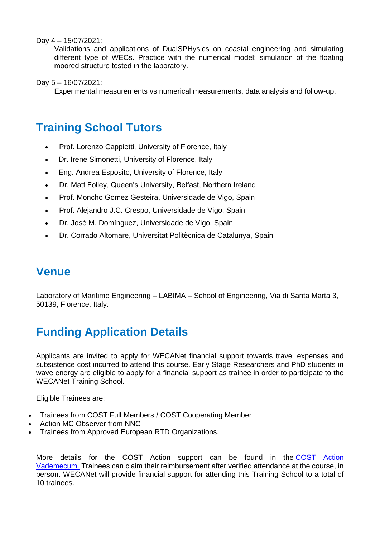#### Day 4 – 15/07/2021:

Validations and applications of DualSPHysics on coastal engineering and simulating different type of WECs. Practice with the numerical model: simulation of the floating moored structure tested in the laboratory.

Day 5 – 16/07/2021:

Experimental measurements vs numerical measurements, data analysis and follow-up.

## **Training School Tutors**

- Prof. Lorenzo Cappietti, University of Florence, Italy
- Dr. Irene Simonetti, University of Florence, Italy
- Eng. Andrea Esposito, University of Florence, Italy
- Dr. Matt Folley, Queen's University, Belfast, Northern Ireland
- Prof. Moncho Gomez Gesteira, Universidade de Vigo, Spain
- Prof. Alejandro J.C. Crespo, Universidade de Vigo, Spain
- Dr. José M. Domínguez, Universidade de Vigo, Spain
- Dr. Corrado Altomare, Universitat Politècnica de Catalunya, Spain

#### **Venue**

Laboratory of Maritime Engineering – LABIMA – School of Engineering, Via di Santa Marta 3, 50139, Florence, Italy.

# **Funding Application Details**

Applicants are invited to apply for WECANet financial support towards travel expenses and subsistence cost incurred to attend this course. Early Stage Researchers and PhD students in wave energy are eligible to apply for a financial support as trainee in order to participate to the WECANet Training School.

Eligible Trainees are:

- Trainees from COST Full Members / COST Cooperating Member
- Action MC Observer from NNC
- Trainees from Approved European RTD Organizations.

More details for the COST Action support can be found in the COST [Action](https://d4fe6227-29fc-4074-8cf8-92b8f287bb57.filesusr.com/ugd/493ce7_517b93e8f13d4e7fbaeaea7b5de31770.pdf) [Vademecum.](https://d4fe6227-29fc-4074-8cf8-92b8f287bb57.filesusr.com/ugd/493ce7_517b93e8f13d4e7fbaeaea7b5de31770.pdf) Trainees can claim their reimbursement after verified attendance at the course, in person. WECANet will provide financial support for attending this Training School to a total of 10 trainees.